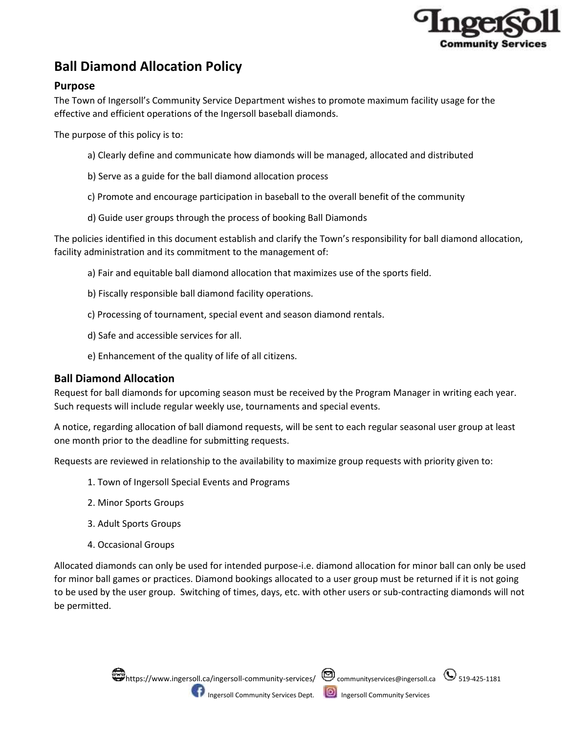

# **Ball Diamond Allocation Policy**

# **Purpose**

The Town of Ingersoll's Community Service Department wishes to promote maximum facility usage for the effective and efficient operations of the Ingersoll baseball diamonds.

The purpose of this policy is to:

- a) Clearly define and communicate how diamonds will be managed, allocated and distributed
- b) Serve as a guide for the ball diamond allocation process
- c) Promote and encourage participation in baseball to the overall benefit of the community
- d) Guide user groups through the process of booking Ball Diamonds

The policies identified in this document establish and clarify the Town's responsibility for ball diamond allocation, facility administration and its commitment to the management of:

- a) Fair and equitable ball diamond allocation that maximizes use of the sports field.
- b) Fiscally responsible ball diamond facility operations.
- c) Processing of tournament, special event and season diamond rentals.
- d) Safe and accessible services for all.
- e) Enhancement of the quality of life of all citizens.

## **Ball Diamond Allocation**

Request for ball diamonds for upcoming season must be received by the Program Manager in writing each year. Such requests will include regular weekly use, tournaments and special events.

A notice, regarding allocation of ball diamond requests, will be sent to each regular seasonal user group at least one month prior to the deadline for submitting requests.

Requests are reviewed in relationship to the availability to maximize group requests with priority given to:

- 1. Town of Ingersoll Special Events and Programs
- 2. Minor Sports Groups
- 3. Adult Sports Groups
- 4. Occasional Groups

Allocated diamonds can only be used for intended purpose-i.e. diamond allocation for minor ball can only be used for minor ball games or practices. Diamond bookings allocated to a user group must be returned if it is not going to be used by the user group. Switching of times, days, etc. with other users or sub-contracting diamonds will not be permitted.



Ingersoll Community Services Dept. **ID** Ingersoll Community Services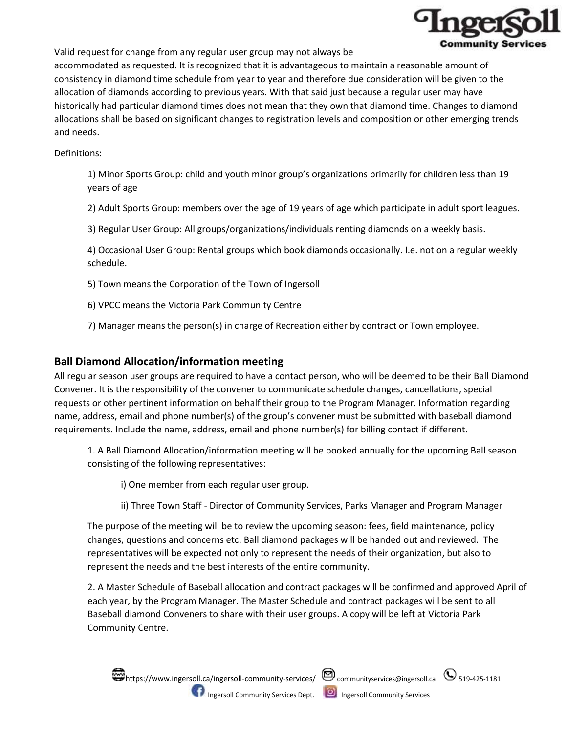

Valid request for change from any regular user group may not always be accommodated as requested. It is recognized that it is advantageous to maintain a reasonable amount of consistency in diamond time schedule from year to year and therefore due consideration will be given to the allocation of diamonds according to previous years. With that said just because a regular user may have historically had particular diamond times does not mean that they own that diamond time. Changes to diamond allocations shall be based on significant changes to registration levels and composition or other emerging trends and needs.

Definitions:

1) Minor Sports Group: child and youth minor group's organizations primarily for children less than 19 years of age

2) Adult Sports Group: members over the age of 19 years of age which participate in adult sport leagues.

3) Regular User Group: All groups/organizations/individuals renting diamonds on a weekly basis.

4) Occasional User Group: Rental groups which book diamonds occasionally. I.e. not on a regular weekly schedule.

5) Town means the Corporation of the Town of Ingersoll

6) VPCC means the Victoria Park Community Centre

7) Manager means the person(s) in charge of Recreation either by contract or Town employee.

## **Ball Diamond Allocation/information meeting**

All regular season user groups are required to have a contact person, who will be deemed to be their Ball Diamond Convener. It is the responsibility of the convener to communicate schedule changes, cancellations, special requests or other pertinent information on behalf their group to the Program Manager. Information regarding name, address, email and phone number(s) of the group's convener must be submitted with baseball diamond requirements. Include the name, address, email and phone number(s) for billing contact if different.

1. A Ball Diamond Allocation/information meeting will be booked annually for the upcoming Ball season consisting of the following representatives:

i) One member from each regular user group.

ii) Three Town Staff - Director of Community Services, Parks Manager and Program Manager

The purpose of the meeting will be to review the upcoming season: fees, field maintenance, policy changes, questions and concerns etc. Ball diamond packages will be handed out and reviewed. The representatives will be expected not only to represent the needs of their organization, but also to represent the needs and the best interests of the entire community.

2. A Master Schedule of Baseball allocation and contract packages will be confirmed and approved April of each year, by the Program Manager. The Master Schedule and contract packages will be sent to all Baseball diamond Conveners to share with their user groups. A copy will be left at Victoria Park Community Centre.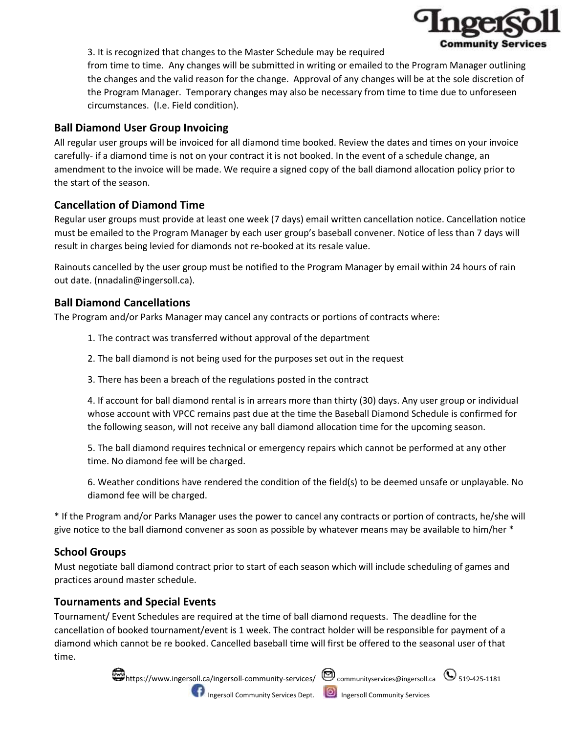

3. It is recognized that changes to the Master Schedule may be required

from time to time. Any changes will be submitted in writing or emailed to the Program Manager outlining the changes and the valid reason for the change. Approval of any changes will be at the sole discretion of the Program Manager. Temporary changes may also be necessary from time to time due to unforeseen circumstances. (I.e. Field condition).

## **Ball Diamond User Group Invoicing**

All regular user groups will be invoiced for all diamond time booked. Review the dates and times on your invoice carefully- if a diamond time is not on your contract it is not booked. In the event of a schedule change, an amendment to the invoice will be made. We require a signed copy of the ball diamond allocation policy prior to the start of the season.

# **Cancellation of Diamond Time**

Regular user groups must provide at least one week (7 days) email written cancellation notice. Cancellation notice must be emailed to the Program Manager by each user group's baseball convener. Notice of less than 7 days will result in charges being levied for diamonds not re-booked at its resale value.

Rainouts cancelled by the user group must be notified to the Program Manager by email within 24 hours of rain out date. (nnadalin@ingersoll.ca).

## **Ball Diamond Cancellations**

The Program and/or Parks Manager may cancel any contracts or portions of contracts where:

- 1. The contract was transferred without approval of the department
- 2. The ball diamond is not being used for the purposes set out in the request
- 3. There has been a breach of the regulations posted in the contract

4. If account for ball diamond rental is in arrears more than thirty (30) days. Any user group or individual whose account with VPCC remains past due at the time the Baseball Diamond Schedule is confirmed for the following season, will not receive any ball diamond allocation time for the upcoming season.

5. The ball diamond requires technical or emergency repairs which cannot be performed at any other time. No diamond fee will be charged.

6. Weather conditions have rendered the condition of the field(s) to be deemed unsafe or unplayable. No diamond fee will be charged.

\* If the Program and/or Parks Manager uses the power to cancel any contracts or portion of contracts, he/she will give notice to the ball diamond convener as soon as possible by whatever means may be available to him/her \*

## **School Groups**

Must negotiate ball diamond contract prior to start of each season which will include scheduling of games and practices around master schedule.

## **Tournaments and Special Events**

Tournament/ Event Schedules are required at the time of ball diamond requests. The deadline for the cancellation of booked tournament/event is 1 week. The contract holder will be responsible for payment of a diamond which cannot be re booked. Cancelled baseball time will first be offered to the seasonal user of that time.



Ingersoll Community Services Dept. **ID** Ingersoll Community Services

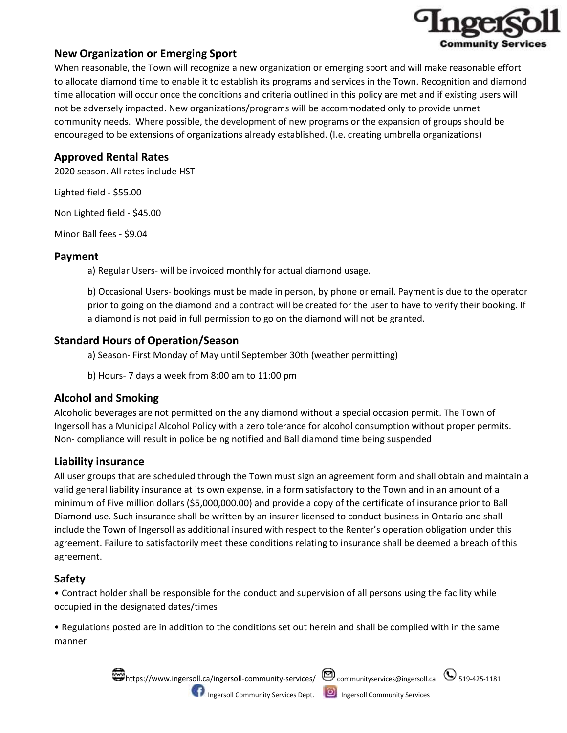

## **New Organization or Emerging Sport**

When reasonable, the Town will recognize a new organization or emerging sport and will make reasonable effort to allocate diamond time to enable it to establish its programs and services in the Town. Recognition and diamond time allocation will occur once the conditions and criteria outlined in this policy are met and if existing users will not be adversely impacted. New organizations/programs will be accommodated only to provide unmet community needs. Where possible, the development of new programs or the expansion of groups should be encouraged to be extensions of organizations already established. (I.e. creating umbrella organizations)

## **Approved Rental Rates**

2020 season. All rates include HST

Lighted field - \$55.00

Non Lighted field - \$45.00

Minor Ball fees - \$9.04

## **Payment**

a) Regular Users- will be invoiced monthly for actual diamond usage.

b) Occasional Users- bookings must be made in person, by phone or email. Payment is due to the operator prior to going on the diamond and a contract will be created for the user to have to verify their booking. If a diamond is not paid in full permission to go on the diamond will not be granted.

# **Standard Hours of Operation/Season**

a) Season- First Monday of May until September 30th (weather permitting)

b) Hours- 7 days a week from 8:00 am to 11:00 pm

## **Alcohol and Smoking**

Alcoholic beverages are not permitted on the any diamond without a special occasion permit. The Town of Ingersoll has a Municipal Alcohol Policy with a zero tolerance for alcohol consumption without proper permits. Non- compliance will result in police being notified and Ball diamond time being suspended

# **Liability insurance**

All user groups that are scheduled through the Town must sign an agreement form and shall obtain and maintain a valid general liability insurance at its own expense, in a form satisfactory to the Town and in an amount of a minimum of Five million dollars (\$5,000,000.00) and provide a copy of the certificate of insurance prior to Ball Diamond use. Such insurance shall be written by an insurer licensed to conduct business in Ontario and shall include the Town of Ingersoll as additional insured with respect to the Renter's operation obligation under this agreement. Failure to satisfactorily meet these conditions relating to insurance shall be deemed a breach of this agreement.

# **Safety**

• Contract holder shall be responsible for the conduct and supervision of all persons using the facility while occupied in the designated dates/times

• Regulations posted are in addition to the conditions set out herein and shall be complied with in the same manner



Ingersoll Community Services Dept. **ID** Ingersoll Community Services